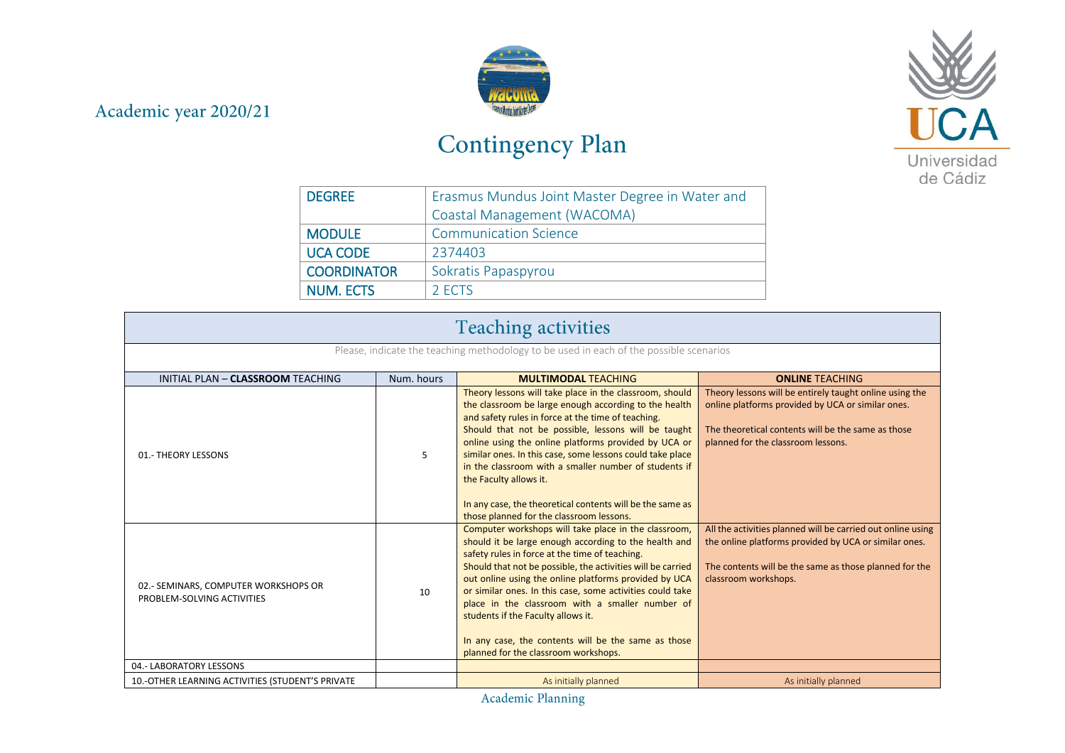## Academic year 2020/21



## Contingency Plan



| <b>DEGREE</b>      | Erasmus Mundus Joint Master Degree in Water and |
|--------------------|-------------------------------------------------|
|                    | Coastal Management (WACOMA)                     |
| <b>MODULE</b>      | <b>Communication Science</b>                    |
| <b>UCA CODE</b>    | 2374403                                         |
| <b>COORDINATOR</b> | Sokratis Papaspyrou                             |
| <b>NUM. ECTS</b>   | 2 ECTS                                          |

| <b>Teaching activities</b>                                                             |            |                                                                                                                                                                                                                                                                                                                                                                                                                                                                                                                                                |                                                                                                                                                                                                          |
|----------------------------------------------------------------------------------------|------------|------------------------------------------------------------------------------------------------------------------------------------------------------------------------------------------------------------------------------------------------------------------------------------------------------------------------------------------------------------------------------------------------------------------------------------------------------------------------------------------------------------------------------------------------|----------------------------------------------------------------------------------------------------------------------------------------------------------------------------------------------------------|
| Please, indicate the teaching methodology to be used in each of the possible scenarios |            |                                                                                                                                                                                                                                                                                                                                                                                                                                                                                                                                                |                                                                                                                                                                                                          |
| INITIAL PLAN - CLASSROOM TEACHING                                                      | Num. hours | <b>MULTIMODAL TEACHING</b>                                                                                                                                                                                                                                                                                                                                                                                                                                                                                                                     | <b>ONLINE TEACHING</b>                                                                                                                                                                                   |
| 01.- THEORY LESSONS                                                                    | 5          | Theory lessons will take place in the classroom, should<br>the classroom be large enough according to the health<br>and safety rules in force at the time of teaching.<br>Should that not be possible, lessons will be taught<br>online using the online platforms provided by UCA or<br>similar ones. In this case, some lessons could take place<br>in the classroom with a smaller number of students if<br>the Faculty allows it.<br>In any case, the theoretical contents will be the same as<br>those planned for the classroom lessons. | Theory lessons will be entirely taught online using the<br>online platforms provided by UCA or similar ones.<br>The theoretical contents will be the same as those<br>planned for the classroom lessons. |
| 02.- SEMINARS, COMPUTER WORKSHOPS OR<br>PROBLEM-SOLVING ACTIVITIES                     | 10         | Computer workshops will take place in the classroom,<br>should it be large enough according to the health and<br>safety rules in force at the time of teaching.<br>Should that not be possible, the activities will be carried<br>out online using the online platforms provided by UCA<br>or similar ones. In this case, some activities could take<br>place in the classroom with a smaller number of<br>students if the Faculty allows it.<br>In any case, the contents will be the same as those<br>planned for the classroom workshops.   | All the activities planned will be carried out online using<br>the online platforms provided by UCA or similar ones.<br>The contents will be the same as those planned for the<br>classroom workshops.   |
| 04.- LABORATORY LESSONS                                                                |            |                                                                                                                                                                                                                                                                                                                                                                                                                                                                                                                                                |                                                                                                                                                                                                          |
| 10.-OTHER LEARNING ACTIVITIES (STUDENT'S PRIVATE                                       |            | As initially planned                                                                                                                                                                                                                                                                                                                                                                                                                                                                                                                           | As initially planned                                                                                                                                                                                     |

Academic Planning